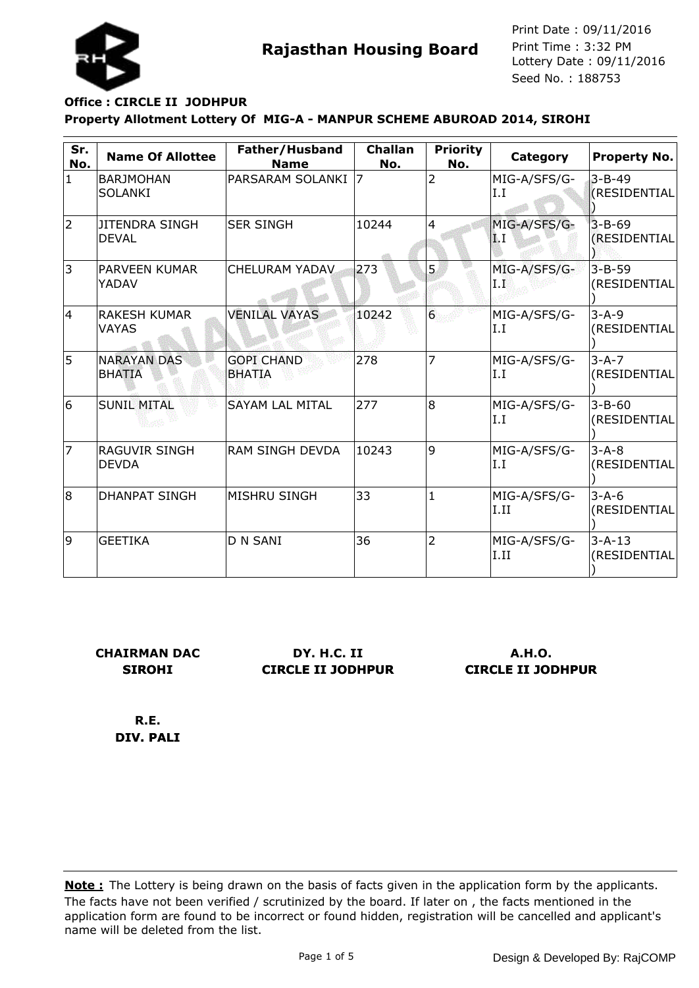

# **Property Allotment Lottery Of MIG-A - MANPUR SCHEME ABUROAD 2014, SIROHI Office : CIRCLE II JODHPUR**

| Sr.<br>No. | <b>Name Of Allottee</b>             | Father/Husband<br><b>Name</b>      | <b>Challan</b><br>No. | <b>Priority</b><br>No. | Category             | <b>Property No.</b>          |
|------------|-------------------------------------|------------------------------------|-----------------------|------------------------|----------------------|------------------------------|
| $\vert$ 1  | <b>BARJMOHAN</b><br><b>SOLANKI</b>  | PARSARAM SOLANKI                   | 7                     | $\overline{2}$         | MIG-A/SFS/G-<br>I.I  | $3 - B - 49$<br>(RESIDENTIAL |
| 2          | JITENDRA SINGH<br><b>DEVAL</b>      | <b>SER SINGH</b>                   | 10244                 | 4                      | MIG-A/SFS/G-<br>Ä. I | $3 - B - 69$<br>(RESIDENTIAL |
| 3          | PARVEEN KUMAR<br>YADAV              | <b>CHELURAM YADAV</b>              | 273                   | 5                      | MIG-A/SFS/G-<br>Ιľ   | $3 - B - 59$<br>(RESIDENTIAL |
| 14         | <b>RAKESH KUMAR</b><br><b>VAYAS</b> | <b>VENILAL VAYAS</b>               | 10242                 | $6 \overline{6}$       | MIG-A/SFS/G-<br>I.I  | $3 - A - 9$<br>(RESIDENTIAL  |
| 5          | <b>NARAYAN DAS</b><br><b>BHATIA</b> | <b>GOPI CHAND</b><br><b>BHATIA</b> | 278                   | 7                      | MIG-A/SFS/G-<br>I.I  | $3 - A - 7$<br>(RESIDENTIAL  |
| 6          | <b>SUNIL MITAL</b>                  | <b>SAYAM LAL MITAL</b>             | 277                   | 8                      | MIG-A/SFS/G-<br>I.I  | $3 - B - 60$<br>(RESIDENTIAL |
| 17         | RAGUVIR SINGH<br><b>DEVDA</b>       | <b>RAM SINGH DEVDA</b>             | 10243                 | 9                      | MIG-A/SFS/G-<br>I.I  | $3 - A - 8$<br>(RESIDENTIAL  |
| 8          | <b>DHANPAT SINGH</b>                | <b>MISHRU SINGH</b>                | 33                    | $\mathbf{1}$           | MIG-A/SFS/G-<br>I.II | $3 - A - 6$<br>(RESIDENTIAL  |
| 9          | <b>GEETIKA</b>                      | <b>D N SANI</b>                    | 36                    | $\overline{2}$         | MIG-A/SFS/G-<br>I.II | $3 - A - 13$<br>(RESIDENTIAL |

**CHAIRMAN DAC SIROHI**

**DY. H.C. II CIRCLE II JODHPUR**

**A.H.O. CIRCLE II JODHPUR**

**R.E. DIV. PALI**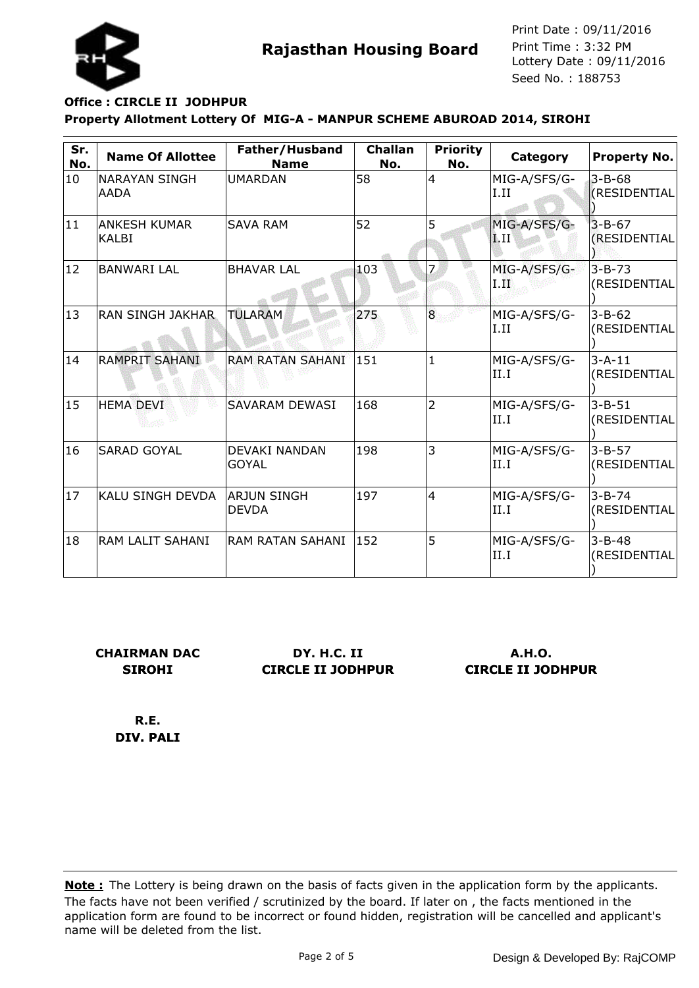

# **Property Allotment Lottery Of MIG-A - MANPUR SCHEME ABUROAD 2014, SIROHI Office : CIRCLE II JODHPUR**

| Sr.<br>No.   | <b>Name Of Allottee</b>             | Father/Husband<br><b>Name</b>        | <b>Challan</b><br>No. | <b>Priority</b><br>No. | Category               | <b>Property No.</b>          |
|--------------|-------------------------------------|--------------------------------------|-----------------------|------------------------|------------------------|------------------------------|
| 10           | <b>NARAYAN SINGH</b><br><b>AADA</b> | <b>UMARDAN</b>                       | 58                    | 4                      | MIG-A/SFS/G-<br>I.II   | $3 - B - 68$<br>(RESIDENTIAL |
| 11           | ANKESH KUMAR<br><b>KALBI</b>        | <b>SAVA RAM</b>                      | 52                    | 5                      | MIG-A/SFS/G-<br> I.II  | $3 - B - 67$<br>(RESIDENTIAL |
| 12           | <b>BANWARI LAL</b>                  | <b>BHAVAR LAL</b>                    | 103                   |                        | MIG-A/SFS/G-<br>1. III | $3 - B - 73$<br>(RESIDENTIAL |
| $ 13\rangle$ | <b>RAN SINGH JAKHAR</b>             | <b>TULARAM</b>                       | 275                   | 8                      | MIG-A/SFS/G-<br>I.II   | $3 - B - 62$<br>(RESIDENTIAL |
| 14           | <b>RAMPRIT SAHANI</b>               | <b>RAM RATAN SAHANI</b>              | 151                   | $\mathbf{1}$           | MIG-A/SFS/G-<br>II.I   | $3 - A - 11$<br>(RESIDENTIAL |
| $ 15\rangle$ | <b>HEMA DEVI</b>                    | <b>SAVARAM DEWASI</b>                | 168                   | $\overline{2}$         | MIG-A/SFS/G-<br>II.I   | $3 - B - 51$<br>(RESIDENTIAL |
| 16           | <b>SARAD GOYAL</b>                  | <b>DEVAKI NANDAN</b><br><b>GOYAL</b> | 198                   | 3                      | MIG-A/SFS/G-<br>II.I   | $3 - B - 57$<br>(RESIDENTIAL |
| $ 17\rangle$ | KALU SINGH DEVDA                    | <b>ARJUN SINGH</b><br><b>DEVDA</b>   | 197                   | 4                      | MIG-A/SFS/G-<br>II.I   | $3 - B - 74$<br>(RESIDENTIAL |
| 18           | RAM LALIT SAHANI                    | RAM RATAN SAHANI                     | 152                   | 5                      | MIG-A/SFS/G-<br>II.I   | $3 - B - 48$<br>(RESIDENTIAL |

**CHAIRMAN DAC SIROHI**

**DY. H.C. II CIRCLE II JODHPUR**

**A.H.O. CIRCLE II JODHPUR**

**R.E. DIV. PALI**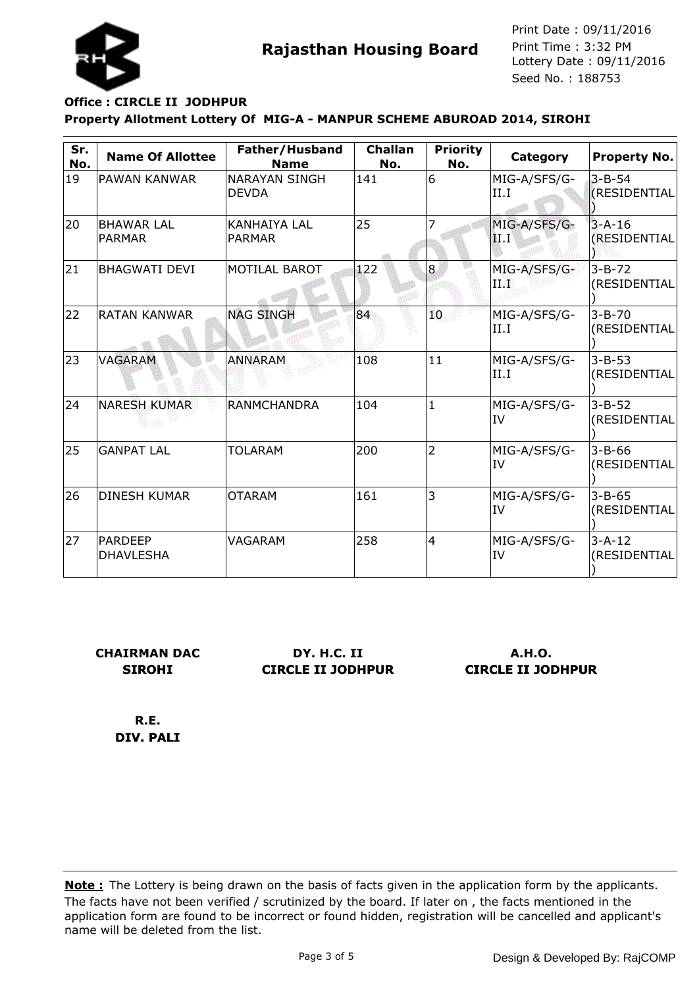

### **Property Allotment Lottery Of MIG-A - MANPUR SCHEME ABUROAD 2014, SIROHI Office : CIRCLE II JODHPUR**

| Sr.<br>No. | <b>Name Of Allottee</b>            | Father/Husband<br><b>Name</b>        | <b>Challan</b><br>No. | <b>Priority</b><br>No. | Category                  | <b>Property No.</b>          |
|------------|------------------------------------|--------------------------------------|-----------------------|------------------------|---------------------------|------------------------------|
| 19         | PAWAN KANWAR                       | <b>NARAYAN SINGH</b><br><b>DEVDA</b> | 141                   | 6                      | MIG-A/SFS/G-<br>II.I      | $3 - B - 54$<br>(RESIDENTIAL |
| 20         | <b>BHAWAR LAL</b><br><b>PARMAR</b> | KANHAIYA LAL<br><b>PARMAR</b>        | 25                    |                        | MIG-A/SFS/G-<br> II.I'    | $3 - A - 16$<br>(RESIDENTIAL |
| 21         | <b>BHAGWATI DEVI</b>               | <b>MOTILAL BAROT</b>                 | 122                   | 8                      | MIG-A/SFS/G-<br>ПŦ        | $3 - B - 72$<br>(RESIDENTIAL |
| 22         | <b>RATAN KANWAR</b>                | <b>NAG SINGH</b>                     | 84                    | 10                     | MIG-A/SFS/G-<br>II.I      | $3 - B - 70$<br>(RESIDENTIAL |
| 23         | <b>VAGARAM</b>                     | <b>ANNARAM</b>                       | 108                   | 11                     | MIG-A/SFS/G-<br>II.I      | $3 - B - 53$<br>(RESIDENTIAL |
| 24         | <b>NARESH KUMAR</b>                | <b>RANMCHANDRA</b>                   | 104                   | $\mathbf{1}$           | MIG-A/SFS/G-<br><b>IV</b> | $3 - B - 52$<br>(RESIDENTIAL |
| 25         | <b>GANPAT LAL</b>                  | <b>TOLARAM</b>                       | 200                   | $\overline{2}$         | MIG-A/SFS/G-<br>IV        | $3 - B - 66$<br>(RESIDENTIAL |
| 26         | <b>DINESH KUMAR</b>                | <b>OTARAM</b>                        | 161                   | 3                      | MIG-A/SFS/G-<br>IV        | $3 - B - 65$<br>(RESIDENTIAL |
| 27         | <b>PARDEEP</b><br>DHAVLESHA        | VAGARAM                              | 258                   | $\overline{4}$         | MIG-A/SFS/G-<br><b>IV</b> | $3 - A - 12$<br>(RESIDENTIAL |

**CHAIRMAN DAC SIROHI**

**DY. H.C. II CIRCLE II JODHPUR**

**A.H.O. CIRCLE II JODHPUR**

**R.E. DIV. PALI**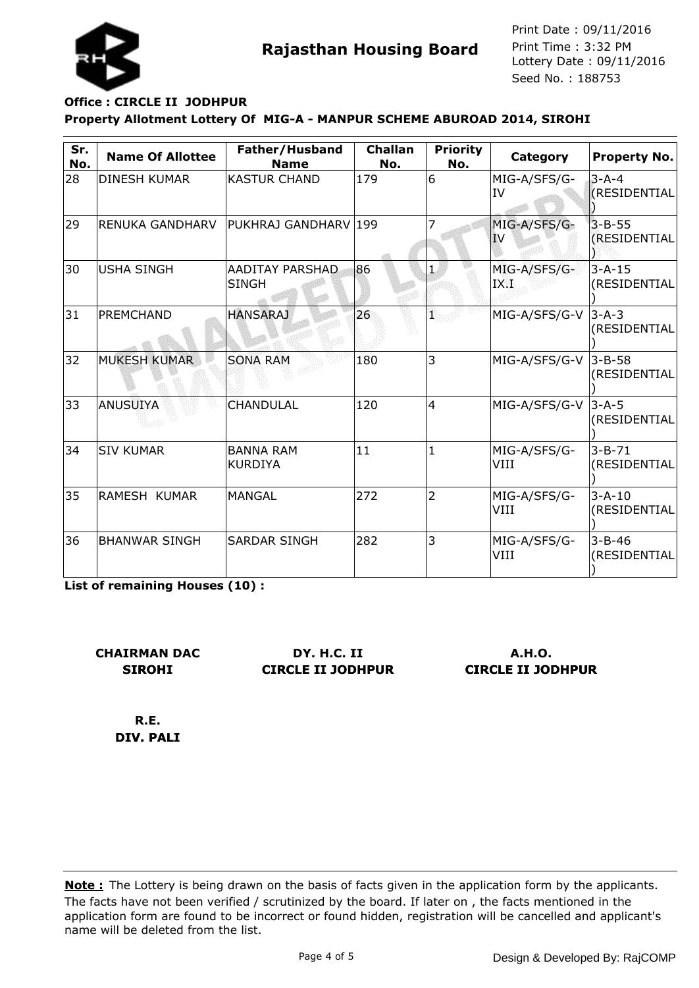

# **Property Allotment Lottery Of MIG-A - MANPUR SCHEME ABUROAD 2014, SIROHI Office : CIRCLE II JODHPUR**

| Sr.<br>No. | <b>Name Of Allottee</b> | Father/Husband<br><b>Name</b>      | <b>Challan</b><br>No. | <b>Priority</b><br>No. | Category                  | <b>Property No.</b>          |
|------------|-------------------------|------------------------------------|-----------------------|------------------------|---------------------------|------------------------------|
| 28         | DINESH KUMAR            | <b>KASTUR CHAND</b>                | 179                   | 6                      | MIG-A/SFS/G-<br><b>IV</b> | $3 - A - 4$<br>(RESIDENTIAL  |
| 29         | <b>RENUKA GANDHARV</b>  | PUKHRAJ GANDHARV 199               |                       |                        | MIG-A/SFS/G-<br>IV        | $3 - B - 55$<br>(RESIDENTIAL |
| 30         | <b>USHA SINGH</b>       | AADITAY PARSHAD<br><b>SINGH</b>    | 86                    | 1                      | MIG-A/SFS/G-<br>IX.1      | $3 - A - 15$<br>(RESIDENTIAL |
| 31         | PREMCHAND               | <b>HANSARAJ</b>                    | 26                    | Ŧ.                     | MIG-A/SFS/G-V             | $3 - A - 3$<br>(RESIDENTIAL  |
| 32         | <b>MUKESH KUMAR</b>     | <b>SONA RAM</b>                    | 180                   | 3                      | MIG-A/SFS/G-V             | $3 - B - 58$<br>(RESIDENTIAL |
| 33         | ANUSUIYA                | CHANDULAL                          | 120                   | $\overline{4}$         | MIG-A/SFS/G-V             | $3 - A - 5$<br>(RESIDENTIAL  |
| 34         | <b>SIV KUMAR</b>        | <b>BANNA RAM</b><br><b>KURDIYA</b> | 11                    | 1                      | MIG-A/SFS/G-<br>VIII      | $3 - B - 71$<br>(RESIDENTIAL |
| 35         | RAMESH KUMAR            | <b>MANGAL</b>                      | 272                   | $\overline{2}$         | MIG-A/SFS/G-<br>VIII      | $3 - A - 10$<br>(RESIDENTIAL |
| 36         | <b>BHANWAR SINGH</b>    | <b>SARDAR SINGH</b>                | 282                   | 3                      | MIG-A/SFS/G-<br>VIII      | $3 - B - 46$<br>(RESIDENTIAL |

**List of remaining Houses (10) :**

**CHAIRMAN DAC SIROHI**

**DY. H.C. II CIRCLE II JODHPUR**

**A.H.O. CIRCLE II JODHPUR**

**R.E. DIV. PALI**